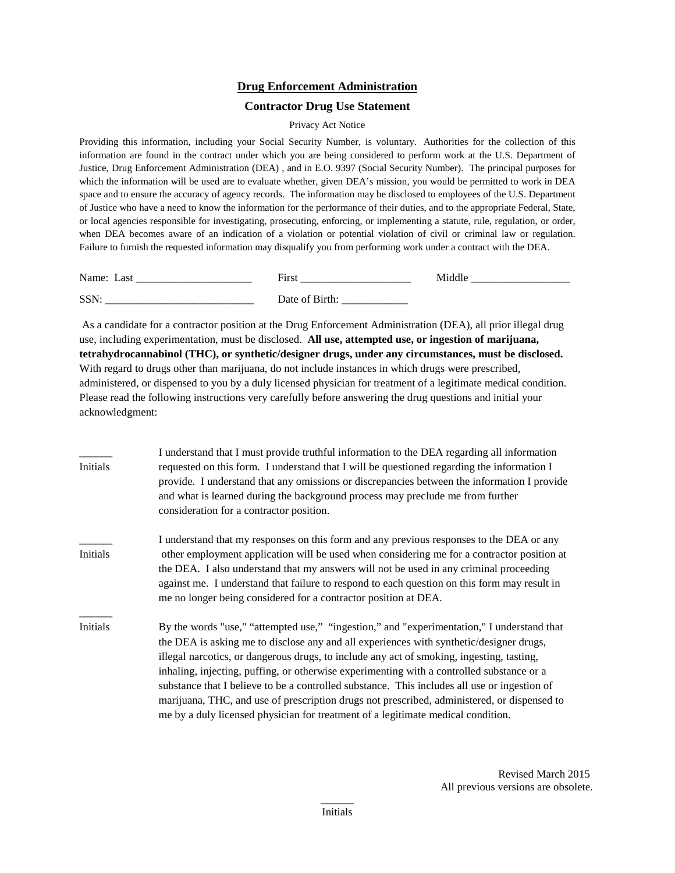## **Drug Enforcement Administration**

## **Contractor Drug Use Statement**

## Privacy Act Notice

Providing this information, including your Social Security Number, is voluntary. Authorities for the collection of this information are found in the contract under which you are being considered to perform work at the U.S. Department of Justice, Drug Enforcement Administration (DEA) , and in E.O. 9397 (Social Security Number). The principal purposes for which the information will be used are to evaluate whether, given DEA's mission, you would be permitted to work in DEA space and to ensure the accuracy of agency records. The information may be disclosed to employees of the U.S. Department of Justice who have a need to know the information for the performance of their duties, and to the appropriate Federal, State, or local agencies responsible for investigating, prosecuting, enforcing, or implementing a statute, rule, regulation, or order, when DEA becomes aware of an indication of a violation or potential violation of civil or criminal law or regulation. Failure to furnish the requested information may disqualify you from performing work under a contract with the DEA.

| Name:<br>Lası        | ÷-<br>Hırst<br>_______               |  |
|----------------------|--------------------------------------|--|
| <b>SSN</b><br>______ | Jate of<br><b>D</b><br>пш<br>_______ |  |

As a candidate for a contractor position at the Drug Enforcement Administration (DEA), all prior illegal drug use, including experimentation, must be disclosed. **All use, attempted use, or ingestion of marijuana, tetrahydrocannabinol (THC), or synthetic/designer drugs, under any circumstances, must be disclosed.** With regard to drugs other than marijuana, do not include instances in which drugs were prescribed, administered, or dispensed to you by a duly licensed physician for treatment of a legitimate medical condition. Please read the following instructions very carefully before answering the drug questions and initial your acknowledgment:

| Initials | I understand that I must provide truthful information to the DEA regarding all information<br>requested on this form. I understand that I will be questioned regarding the information I<br>provide. I understand that any omissions or discrepancies between the information I provide<br>and what is learned during the background process may preclude me from further<br>consideration for a contractor position.                                                                                                                                                                                                                                              |
|----------|--------------------------------------------------------------------------------------------------------------------------------------------------------------------------------------------------------------------------------------------------------------------------------------------------------------------------------------------------------------------------------------------------------------------------------------------------------------------------------------------------------------------------------------------------------------------------------------------------------------------------------------------------------------------|
| Initials | I understand that my responses on this form and any previous responses to the DEA or any<br>other employment application will be used when considering me for a contractor position at<br>the DEA. I also understand that my answers will not be used in any criminal proceeding<br>against me. I understand that failure to respond to each question on this form may result in<br>me no longer being considered for a contractor position at DEA.                                                                                                                                                                                                                |
| Initials | By the words "use," "attempted use," "ingestion," and "experimentation," I understand that<br>the DEA is asking me to disclose any and all experiences with synthetic/designer drugs,<br>illegal narcotics, or dangerous drugs, to include any act of smoking, ingesting, tasting,<br>inhaling, injecting, puffing, or otherwise experimenting with a controlled substance or a<br>substance that I believe to be a controlled substance. This includes all use or ingestion of<br>marijuana, THC, and use of prescription drugs not prescribed, administered, or dispensed to<br>me by a duly licensed physician for treatment of a legitimate medical condition. |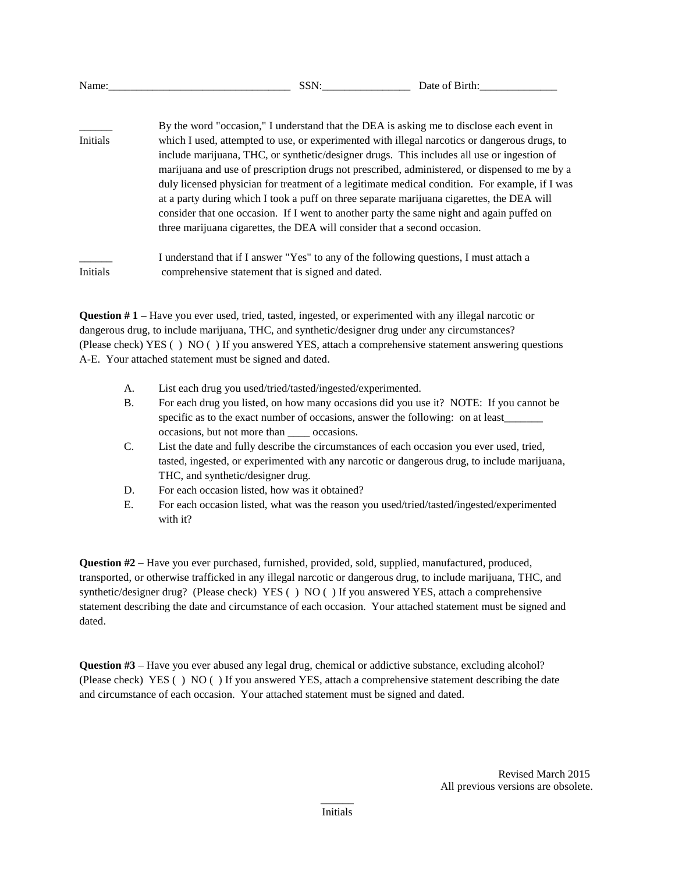| Name:    | SSN:                                                                                                                                                                                                                                                                                                                                                                                                                                                                                                                                                                                                                                                                                                                                                               | Date of Birth: |
|----------|--------------------------------------------------------------------------------------------------------------------------------------------------------------------------------------------------------------------------------------------------------------------------------------------------------------------------------------------------------------------------------------------------------------------------------------------------------------------------------------------------------------------------------------------------------------------------------------------------------------------------------------------------------------------------------------------------------------------------------------------------------------------|----------------|
| Initials | By the word "occasion," I understand that the DEA is asking me to disclose each event in<br>which I used, attempted to use, or experimented with illegal narcotics or dangerous drugs, to<br>include marijuana, THC, or synthetic/designer drugs. This includes all use or ingestion of<br>marijuana and use of prescription drugs not prescribed, administered, or dispensed to me by a<br>duly licensed physician for treatment of a legitimate medical condition. For example, if I was<br>at a party during which I took a puff on three separate marijuana cigarettes, the DEA will<br>consider that one occasion. If I went to another party the same night and again puffed on<br>three marijuana cigarettes, the DEA will consider that a second occasion. |                |
| Initials | I understand that if I answer "Yes" to any of the following questions, I must attach a<br>comprehensive statement that is signed and dated.                                                                                                                                                                                                                                                                                                                                                                                                                                                                                                                                                                                                                        |                |

**Question # 1** – Have you ever used, tried, tasted, ingested, or experimented with any illegal narcotic or dangerous drug, to include marijuana, THC, and synthetic/designer drug under any circumstances? (Please check) YES ( ) NO ( ) If you answered YES, attach a comprehensive statement answering questions A-E. Your attached statement must be signed and dated.

- A. List each drug you used/tried/tasted/ingested/experimented.
- B. For each drug you listed, on how many occasions did you use it? NOTE: If you cannot be specific as to the exact number of occasions, answer the following: on at least occasions, but not more than \_\_\_\_ occasions.
- C. List the date and fully describe the circumstances of each occasion you ever used, tried, tasted, ingested, or experimented with any narcotic or dangerous drug, to include marijuana, THC, and synthetic/designer drug.
- D. For each occasion listed, how was it obtained?
- E. For each occasion listed, what was the reason you used/tried/tasted/ingested/experimented with it?

**Question #2** – Have you ever purchased, furnished, provided, sold, supplied, manufactured, produced, transported, or otherwise trafficked in any illegal narcotic or dangerous drug, to include marijuana, THC, and synthetic/designer drug? (Please check) YES ( ) NO ( ) If you answered YES, attach a comprehensive statement describing the date and circumstance of each occasion. Your attached statement must be signed and dated.

**Question #3** – Have you ever abused any legal drug, chemical or addictive substance, excluding alcohol? (Please check) YES ( ) NO ( ) If you answered YES, attach a comprehensive statement describing the date and circumstance of each occasion. Your attached statement must be signed and dated.